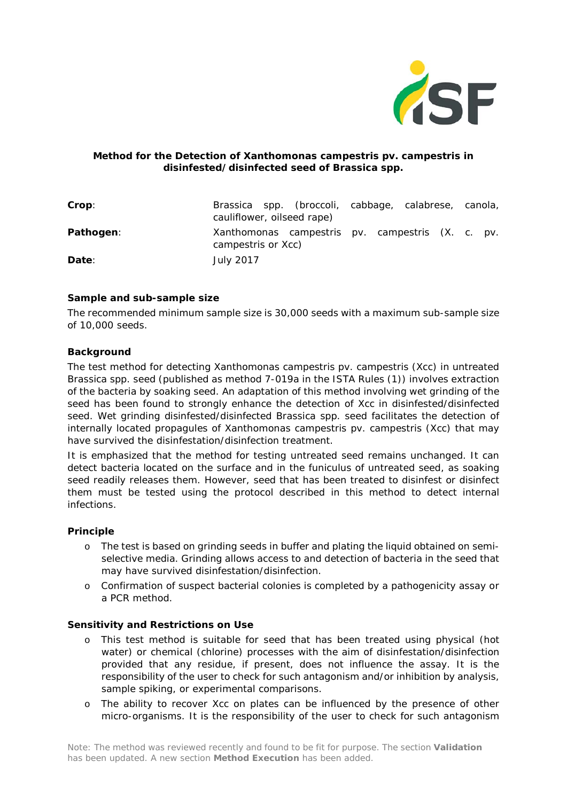

## **Method for the Detection of** *Xanthomonas campestris* **pv.** *campestris* **in disinfested/disinfected seed of** *Brassica* **spp.**

| Crop:     | Brassica spp. (broccoli, cabbage, calabrese, canola,<br>cauliflower, oilseed rape) |  |  |  |
|-----------|------------------------------------------------------------------------------------|--|--|--|
| Pathogen: | Xanthomonas campestris pv. campestris (X. c. pv.<br>campestris or Xcc)             |  |  |  |
| Date:     | <b>July 2017</b>                                                                   |  |  |  |

## **Sample and sub-sample size**

The recommended minimum sample size is 30,000 seeds with a maximum sub-sample size of 10,000 seeds.

#### **Background**

The test method for detecting *Xanthomonas campestris* pv. *campestris* (Xcc) in untreated *Brassica* spp. seed (published as method 7-019a in the ISTA Rules (1)) involves extraction of the bacteria by soaking seed. An adaptation of this method involving wet grinding of the seed has been found to strongly enhance the detection of Xcc in disinfested/disinfected seed. Wet grinding disinfested/disinfected Brassica spp. seed facilitates the detection of internally located propagules of *Xanthomonas campestris* pv. *campestris* (Xcc) that may have survived the disinfestation/disinfection treatment.

*It is emphasized that the method for testing untreated seed remains unchanged. It can detect bacteria located on the surface and in the funiculus of untreated seed, as soaking seed readily releases them. However, seed that has been treated to disinfest or disinfect them must be tested using the protocol described in this method to detect internal infections.*

# **Principle**

- o The test is based on grinding seeds in buffer and plating the liquid obtained on semiselective media. Grinding allows access to and detection of bacteria in the seed that may have survived disinfestation/disinfection.
- o Confirmation of suspect bacterial colonies is completed by a pathogenicity assay or a PCR method.

#### **Sensitivity and Restrictions on Use**

- o This test method is suitable for seed that has been treated using physical (hot water) or chemical (chlorine) processes with the aim of disinfestation/disinfection provided that any residue, if present, does not influence the assay. It is the responsibility of the user to check for such antagonism and/or inhibition by analysis, sample spiking, or experimental comparisons.
- o The ability to recover Xcc on plates can be influenced by the presence of other micro-organisms. It is the responsibility of the user to check for such antagonism